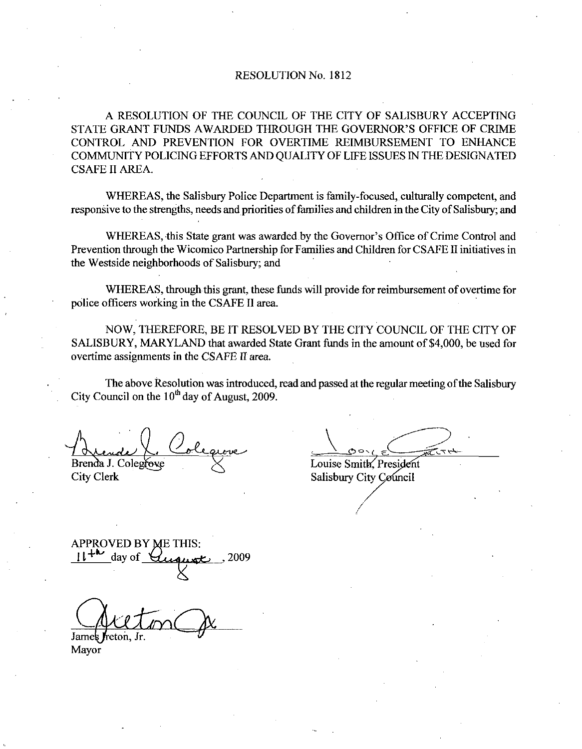## RESOLUTION No. 1812

A RESOLUTION OF THE COUNCIL OF THE CITY OF SALISBURY ACCEPTING RESOLUTION No. 1812<br>A RESOLUTION OF THE COUNCIL OF THE CITY OF SALISBURY ACCEPTING<br>STATE GRANT FUNDS AWARDED THROUGH THE GOVERNOR'S OFFICE OF CRIME<br>COMMUNITY POLICING EFFORTS AND OUALITY OF LIFE ISSUES IN THE DESIGNATED CONTROL AND PREVENTION FOR OVERTIME REIMBURSEMENT TO ENHANCE COMMUNITY POLICING EFFORTS ANDQUALITY OF LIFE ISSUES IN THE DESIGNATED CSAFE II AREA

WHEREAS, the Salisbury Police Department is family-focused, culturally competent, and responsive to the strengths, needs and priorities of families and children in the City of Salisbury; and

I AREA.<br>WHEREAS, the Salisbury Police Department is family-focused, culturally competent, and<br>sive to the strengths, needs and priorities of families and children in the City of Salisbury; and<br>WHEREAS, this State grant was Prevention through the Wicomico Partnership for Families and Children for CSAFE II initiatives in the Westside neighborhoods of Salisbury; and

WHEREAS, through this grant, these funds will provide for reimbursement of overtime for police officers working in the CSAFE II area.

NOW, THEREFORE, BE IT RESOLVED BY THE CITY COUNCIL OF THE CITY OF SALISBURY, MARYLAND that awarded State Grant funds in the amount of \$4,000, be used for overtime assignments in the CSAFE II area.

The above Resolution was introduced, read and passed at the regular meeting of the Salisbury City Council on the  $10<sup>th</sup>$  day of August, 2009.

Brenda J. Colegrove

City Clerk

Louise Smith, President Salisbury City Council

APPROVED BY ME THIS:  $\mu$  day of *Quanst*, 2009

Jame

Mayor